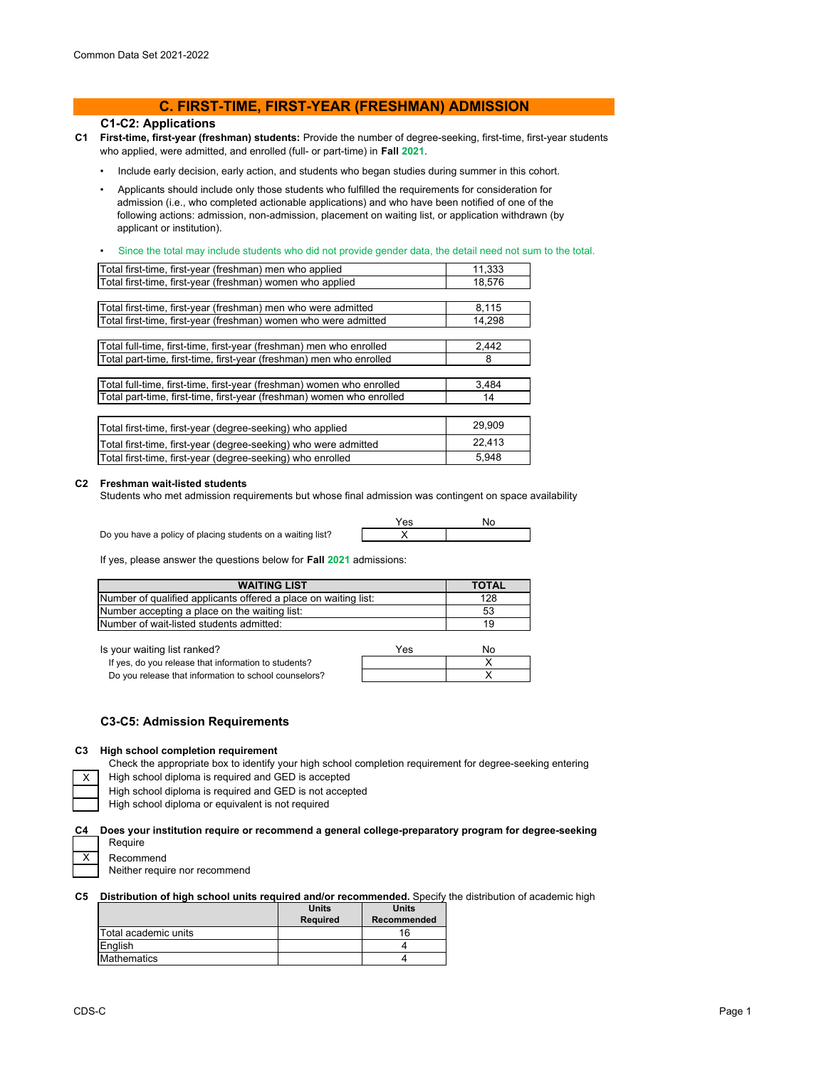# **C. FIRST-TIME, FIRST-YEAR (FRESHMAN) ADMISSION**

## **C1-C2: Applications**

- **C1 First-time, first-year (freshman) students:** Provide the number of degree-seeking, first-time, first-year students who applied, were admitted, and enrolled (full- or part-time) in **Fall 2021**.
	- Include early decision, early action, and students who began studies during summer in this cohort.
	- Applicants should include only those students who fulfilled the requirements for consideration for admission (i.e., who completed actionable applications) and who have been notified of one of the following actions: admission, non-admission, placement on waiting list, or application withdrawn (by applicant or institution).
	- Since the total may include students who did not provide gender data, the detail need not sum to the total.

| Total first-time, first-year (freshman) men who applied               | 11,333 |
|-----------------------------------------------------------------------|--------|
| Total first-time, first-year (freshman) women who applied             | 18,576 |
|                                                                       |        |
| Total first-time, first-year (freshman) men who were admitted         | 8,115  |
| Total first-time, first-year (freshman) women who were admitted       | 14,298 |
|                                                                       |        |
| Total full-time, first-time, first-year (freshman) men who enrolled   | 2,442  |
| Total part-time, first-time, first-year (freshman) men who enrolled   | 8      |
|                                                                       |        |
| Total full-time, first-time, first-year (freshman) women who enrolled | 3,484  |
| Total part-time, first-time, first-year (freshman) women who enrolled | 14     |
|                                                                       |        |
| Total first-time, first-year (degree-seeking) who applied             | 29,909 |
| Total first-time, first-year (degree-seeking) who were admitted       | 22,413 |
| Total first-time, first-year (degree-seeking) who enrolled            | 5,948  |
|                                                                       |        |

#### **C2 Freshman wait-listed students**

Is your waiting list ranked?

Students who met admission requirements but whose final admission was contingent on space availability

Do you have a policy of placing students on a waiting list?

$$
\begin{array}{c|c}\nYes & No \\
\times & & \\
\hline\n\end{array}
$$

If yes, please answer the questions below for **Fall 2021** admissions:

| <b>WAITING LIST</b>                                             | <b>TOTAL</b> |
|-----------------------------------------------------------------|--------------|
| Number of qualified applicants offered a place on waiting list: | 128          |
| Number accepting a place on the waiting list:                   | 53           |
| Number of wait-listed students admitted:                        | 19           |

| your waiting list ranked?                             | Yes | N٥ |
|-------------------------------------------------------|-----|----|
| If yes, do you release that information to students?  |     |    |
| Do you release that information to school counselors? |     |    |

### **C3-C5: Admission Requirements**

#### **C3 High school completion requirement**

Check the appropriate box to identify your high school completion requirement for degree-seeking entering

High school diploma is required and GED is accepted

High school diploma is required and GED is not accepted

High school diploma or equivalent is not required

#### **C4 Does your institution require or recommend a general college-preparatory program for degree-seeking**  Require

X

Recommend Neither require nor recommend

### **C5 Distribution of high school units required and/or recommended.** Specify the distribution of academic high

|                      | <b>Units</b>    | <b>Units</b> |
|----------------------|-----------------|--------------|
|                      | <b>Required</b> | Recommended  |
| Total academic units |                 | 16           |
| English              |                 |              |
| Mathematics          |                 |              |
|                      |                 |              |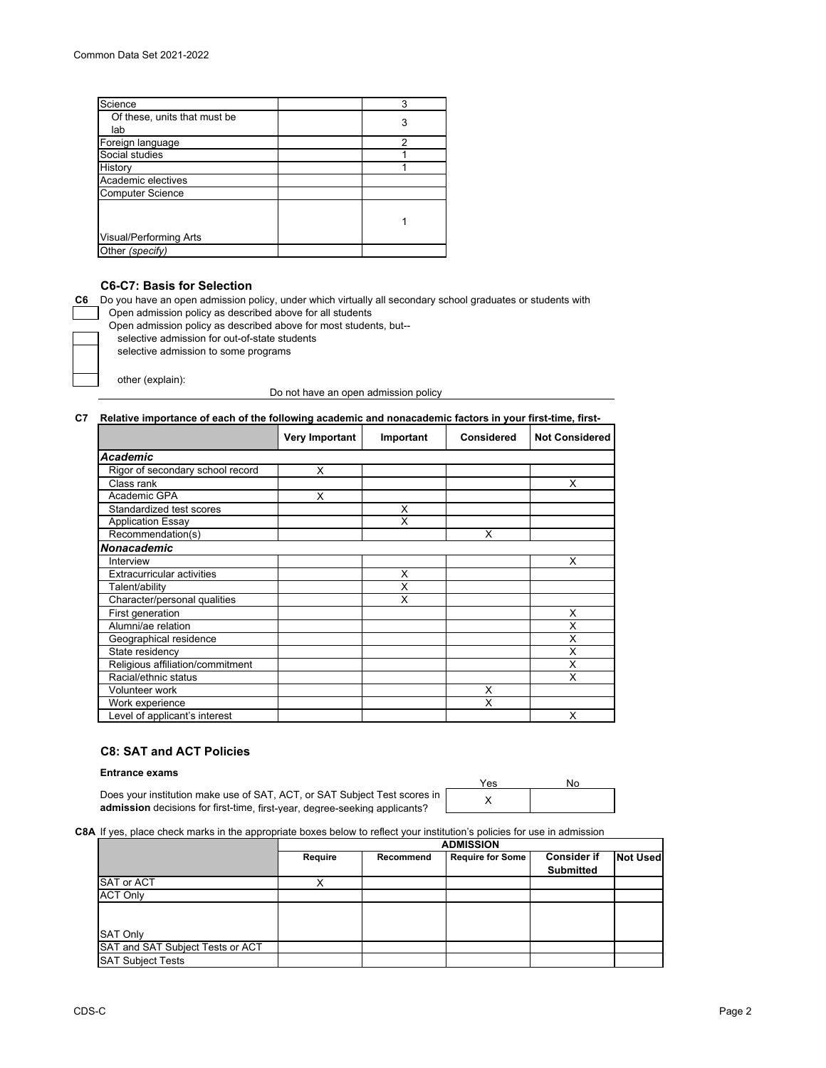| Science                      | 3 |
|------------------------------|---|
| Of these, units that must be |   |
| lab                          | 3 |
| Foreign language             | 2 |
| Social studies               |   |
| History                      |   |
| Academic electives           |   |
| <b>Computer Science</b>      |   |
|                              |   |
|                              |   |
| Visual/Performing Arts       |   |
| Other (specify)              |   |
|                              |   |

# **C6-C7: Basis for Selection**

**C6** Do you have an open admission policy, under which virtually all secondary school graduates or students with Open admission policy as described above for all students

Open admission policy as described above for most students, but--

selective admission for out-of-state students

selective admission to some programs

other (explain):

Do not have an open admission policy

#### **C7 Relative importance of each of the following academic and nonacademic factors in your first-time, first-**

|                                   | Very Important | Important | <b>Considered</b> | <b>Not Considered</b> |
|-----------------------------------|----------------|-----------|-------------------|-----------------------|
| Academic                          |                |           |                   |                       |
| Rigor of secondary school record  | X              |           |                   |                       |
| Class rank                        |                |           |                   | X                     |
| Academic GPA                      | X              |           |                   |                       |
| Standardized test scores          |                | X         |                   |                       |
| <b>Application Essay</b>          |                | X         |                   |                       |
| Recommendation(s)                 |                |           | X                 |                       |
| Nonacademic                       |                |           |                   |                       |
| Interview                         |                |           |                   | X                     |
| <b>Extracurricular activities</b> |                | X         |                   |                       |
| Talent/ability                    |                | X         |                   |                       |
| Character/personal qualities      |                | X         |                   |                       |
| First generation                  |                |           |                   | X                     |
| Alumni/ae relation                |                |           |                   | X                     |
| Geographical residence            |                |           |                   | Χ                     |
| State residency                   |                |           |                   | Χ                     |
| Religious affiliation/commitment  |                |           |                   | X                     |
| Racial/ethnic status              |                |           |                   | X                     |
| <b>Volunteer work</b>             |                |           | X                 |                       |
| Work experience                   |                |           | X                 |                       |
| Level of applicant's interest     |                |           |                   | X                     |

# **C8: SAT and ACT Policies**

#### **Entrance exams**

X Does your institution make use of SAT, ACT, or SAT Subject Test scores in **admission** decisions for first-time, first-year, degree-seeking applicants?

| Yes | חע |  |  |
|-----|----|--|--|
|     |    |  |  |

#### **C8A** If yes, place check marks in the appropriate boxes below to reflect your institution's policies for use in admission

|                                  | <b>ADMISSION</b> |           |                         |                                        |                 |
|----------------------------------|------------------|-----------|-------------------------|----------------------------------------|-----------------|
|                                  | Require          | Recommend | <b>Require for Some</b> | <b>Consider if</b><br><b>Submitted</b> | <b>Not Used</b> |
| SAT or ACT                       |                  |           |                         |                                        |                 |
| <b>ACT Only</b>                  |                  |           |                         |                                        |                 |
|                                  |                  |           |                         |                                        |                 |
| <b>SAT Only</b>                  |                  |           |                         |                                        |                 |
| SAT and SAT Subject Tests or ACT |                  |           |                         |                                        |                 |
| <b>SAT Subject Tests</b>         |                  |           |                         |                                        |                 |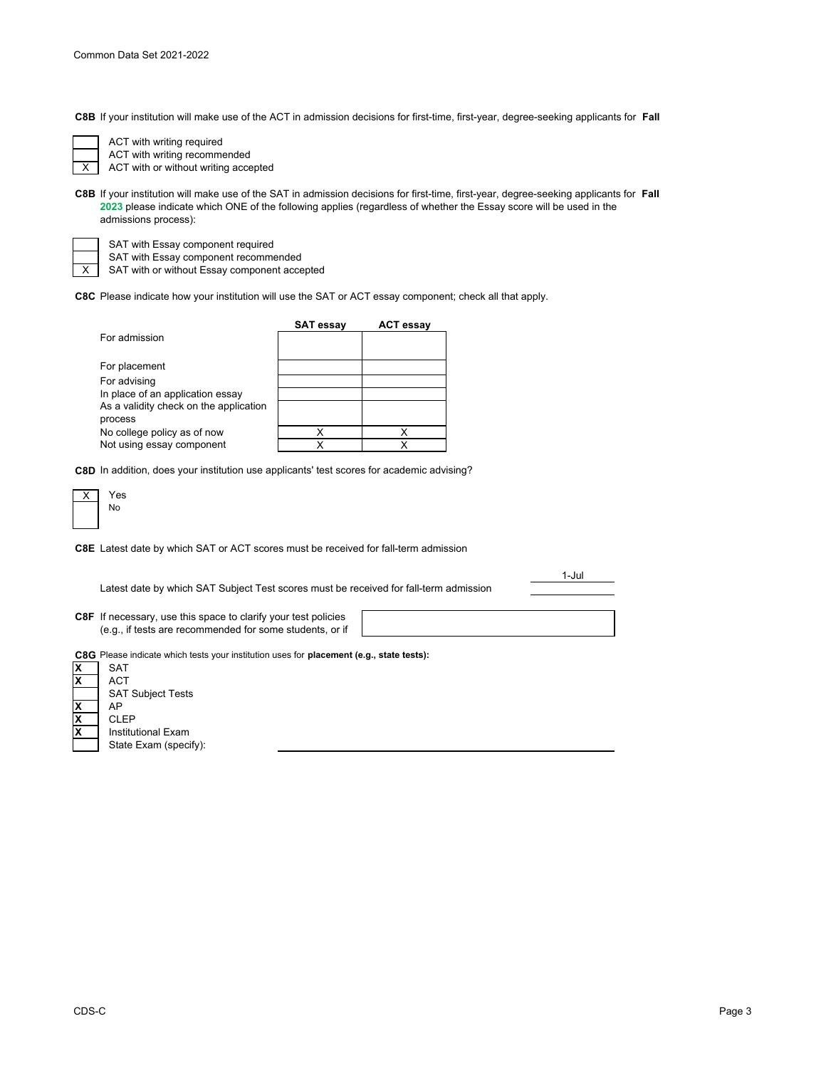**C8B** If your institution will make use of the ACT in admission decisions for first-time, first-year, degree-seeking applicants for **Fall** 

ACT with writing required ACT with writing recommended

X ACT with or without writing accepted

**C8B** If your institution will make use of the SAT in admission decisions for first-time, first-year, degree-seeking applicants for **Fall 2023** please indicate which ONE of the following applies (regardless of whether the Essay score will be used in the admissions process):

SAT with Essay component required

SAT with Essay component recommended

SAT with or without Essay component accepted

**C8C** Please indicate how your institution will use the SAT or ACT essay component; check all that apply.

|                                                   | <b>SAT essay</b> | <b>ACT essay</b> |
|---------------------------------------------------|------------------|------------------|
| For admission                                     |                  |                  |
| For placement                                     |                  |                  |
| For advising                                      |                  |                  |
| In place of an application essay                  |                  |                  |
| As a validity check on the application<br>process |                  |                  |
| No college policy as of now                       |                  |                  |
| Not using essay component                         | x                |                  |

**C8D** In addition, does your institution use applicants' test scores for academic advising?

| es. |
|-----|
| ю.  |
|     |

**C8E** Latest date by which SAT or ACT scores must be received for fall-term admission

|    | Latest date by which SAT Subject Test scores must be received for fall-term admission                                             | 1-Jul |
|----|-----------------------------------------------------------------------------------------------------------------------------------|-------|
|    | <b>C8F</b> If necessary, use this space to clarify your test policies<br>(e.g., if tests are recommended for some students, or if |       |
| ΙX | C8G Please indicate which tests your institution uses for placement (e.g., state tests):<br><b>SAT</b>                            |       |
|    | ACT<br><b>SAT Subject Tests</b>                                                                                                   |       |

**X** AP **X** CLEP **X** Institutional Exam State Exam (specify):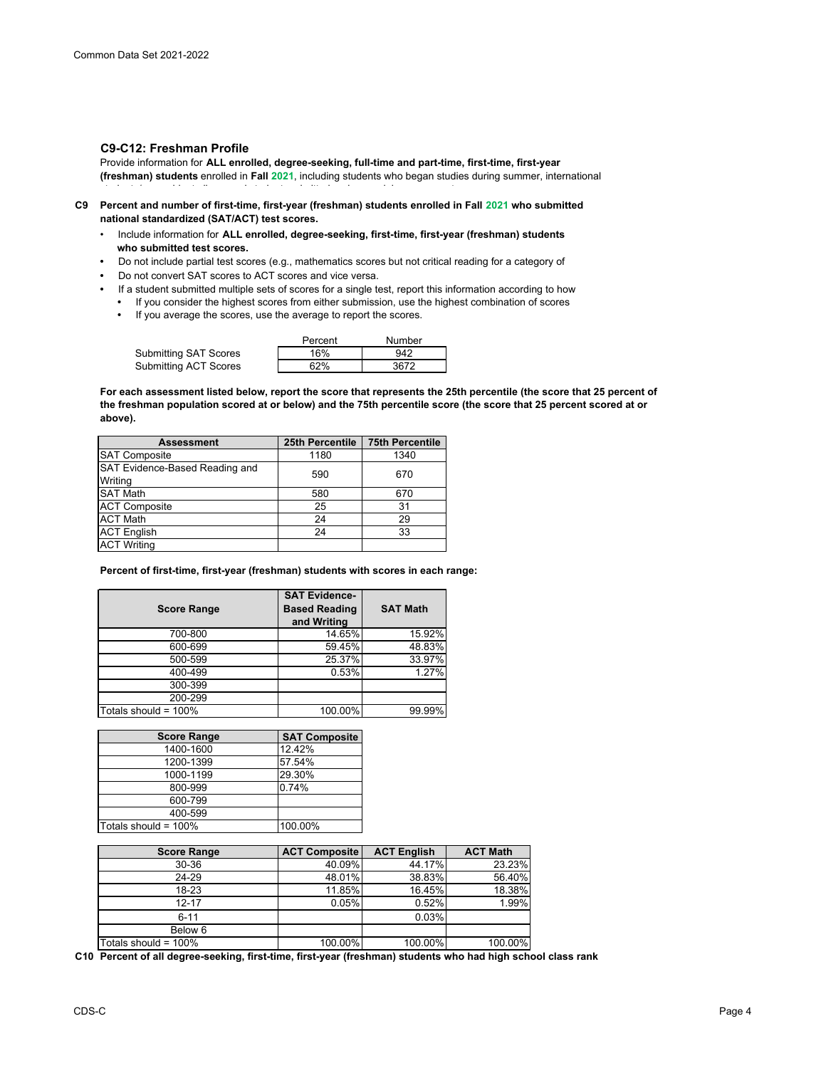### **C9-C12: Freshman Profile**

Provide information for **ALL enrolled, degree-seeking, full-time and part-time, first-time, first-year (freshman) students** enrolled in **Fall 2021**, including students who began studies during summer, international t d'ar de la trois de la trois de la trois de la trois de la trois de la trois de la trois de la trois de la t<br>Les trois de la trois de la trois de la trois de la trois de la trois de la trois de la trois de la trois de l

- **C9 Percent and number of first-time, first-year (freshman) students enrolled in Fall 2021 who submitted national standardized (SAT/ACT) test scores.**
	- Include information for **ALL enrolled, degree-seeking, first-time, first-year (freshman) students who submitted test scores.**
	- Do not include partial test scores (e.g., mathematics scores but not critical reading for a category of
	- Do not convert SAT scores to ACT scores and vice versa.
	- If a student submitted multiple sets of scores for a single test, report this information according to how **•** If you consider the highest scores from either submission, use the highest combination of scores
		- If you average the scores, use the average to report the scores.

|                       | Percent | Number |
|-----------------------|---------|--------|
| Submitting SAT Scores | 16%     | 942    |
| Submitting ACT Scores | 62%     | 3672   |

**For each assessment listed below, report the score that represents the 25th percentile (the score that 25 percent of the freshman population scored at or below) and the 75th percentile score (the score that 25 percent scored at or above).**

| 25th Percentile | <b>75th Percentile</b> |
|-----------------|------------------------|
| 1180            | 1340                   |
| 590             | 670                    |
| 580             | 670                    |
| 25              | 31                     |
| 24              | 29                     |
| 24              | 33                     |
|                 |                        |
|                 |                        |

**Percent of first-time, first-year (freshman) students with scores in each range:**

| <b>Score Range</b>   | <b>SAT Evidence-</b><br><b>Based Reading</b><br>and Writing | <b>SAT Math</b> |
|----------------------|-------------------------------------------------------------|-----------------|
| 700-800              | 14.65%                                                      | 15.92%          |
| 600-699              | 59.45%                                                      | 48.83%          |
| 500-599              | 25.37%                                                      | 33.97%          |
| 400-499              | 0.53%                                                       | 1.27%           |
| 300-399              |                                                             |                 |
| 200-299              |                                                             |                 |
| Totals should = 100% | 100.00%                                                     | 99.99%          |

| <b>Score Range</b>      | <b>SAT Composite</b> |
|-------------------------|----------------------|
| 1400-1600               | 12.42%               |
| 1200-1399               | 57.54%               |
| 1000-1199               | 29.30%               |
| 800-999                 | 0.74%                |
| 600-799                 |                      |
| 400-599                 |                      |
| Totals should = $100\%$ | 100.00%              |

| <b>Score Range</b>      | <b>ACT Composite</b> | <b>ACT English</b> | <b>ACT Math</b> |
|-------------------------|----------------------|--------------------|-----------------|
| 30-36                   | 40.09%               | 44.17%             | 23.23%          |
| 24-29                   | 48.01%               | 38.83%             | 56.40%          |
| 18-23                   | 11.85%               | 16.45%             | 18.38%          |
| $12 - 17$               | 0.05%                | 0.52%              | 1.99%           |
| $6 - 11$                |                      | 0.03%              |                 |
| Below 6                 |                      |                    |                 |
| Totals should = $100\%$ | 100.00%              | 100.00%            | 100.00%         |

**C10 Percent of all degree-seeking, first-time, first-year (freshman) students who had high school class rank**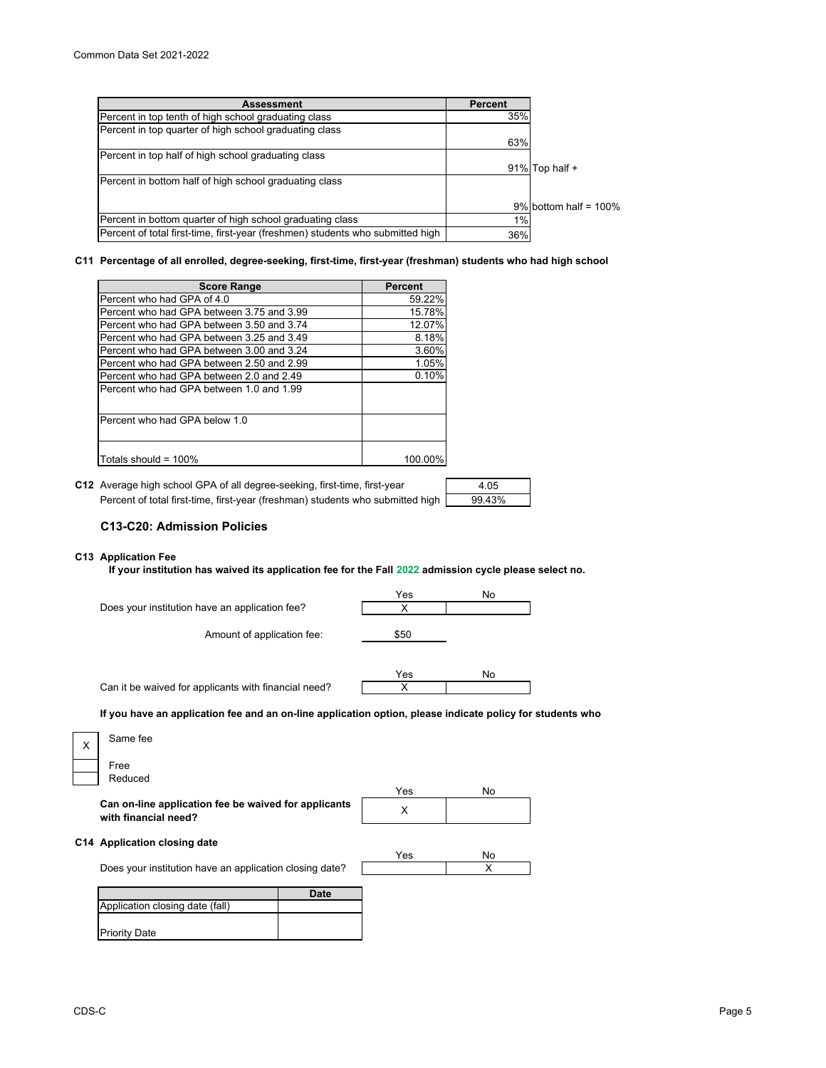| <b>Assessment</b>                                                              | Percent |                          |
|--------------------------------------------------------------------------------|---------|--------------------------|
| Percent in top tenth of high school graduating class                           | 35%     |                          |
| Percent in top quarter of high school graduating class                         |         |                          |
|                                                                                | 63%     |                          |
| Percent in top half of high school graduating class                            |         |                          |
|                                                                                |         | $91\%$ Top half +        |
| Percent in bottom half of high school graduating class                         |         |                          |
|                                                                                |         | $9\%$ bottom half = 100% |
| Percent in bottom quarter of high school graduating class                      | 1%      |                          |
| Percent of total first-time, first-year (freshmen) students who submitted high | 36%     |                          |

#### **C11 Percentage of all enrolled, degree-seeking, first-time, first-year (freshman) students who had high school**

| <b>Score Range</b>                         | Percent |
|--------------------------------------------|---------|
| Percent who had GPA of 4.0                 | 59.22%  |
| Percent who had GPA between 3.75 and 3.99  | 15.78%  |
| Percent who had GPA between 3.50 and 3.74  | 12.07%  |
| IPercent who had GPA between 3.25 and 3.49 | 8.18%   |
| Percent who had GPA between 3.00 and 3.24  | 3.60%   |
| IPercent who had GPA between 2.50 and 2.99 | 1.05%   |
| IPercent who had GPA between 2.0 and 2.49  | 0.10%   |
| IPercent who had GPA between 1.0 and 1.99  |         |
|                                            |         |
| Percent who had GPA below 1.0              |         |
|                                            |         |
|                                            |         |
| Totals should = 100%                       | 100.00% |

**C12** Average high school GPA of all degree-seeking, first-time, first-year  $\vert$  4.05 Percent of total first-time, first-year (freshman) students who submitted high [

| 4.05   |  |
|--------|--|
| 99.43% |  |

# **C13-C20: Admission Policies**

# **C13 Application Fee**

**If your institution has waived its application fee for the Fall 2022 admission cycle please select no.**

|          | Does your institution have an application fee?                                                            | Yes<br>х | No      |  |
|----------|-----------------------------------------------------------------------------------------------------------|----------|---------|--|
|          | Amount of application fee:                                                                                | \$50     |         |  |
|          | Can it be waived for applicants with financial need?                                                      | Yes<br>X | No      |  |
|          | If you have an application fee and an on-line application option, please indicate policy for students who |          |         |  |
| $\times$ | Same fee                                                                                                  |          |         |  |
|          | Free<br>Reduced                                                                                           |          |         |  |
|          |                                                                                                           | Yes      | No      |  |
|          | Can on-line application fee be waived for applicants<br>with financial need?                              | X        |         |  |
|          | C14 Application closing date                                                                              |          |         |  |
|          | Does your institution have an application closing date?                                                   | Yes      | No<br>X |  |
|          | <b>Date</b>                                                                                               |          |         |  |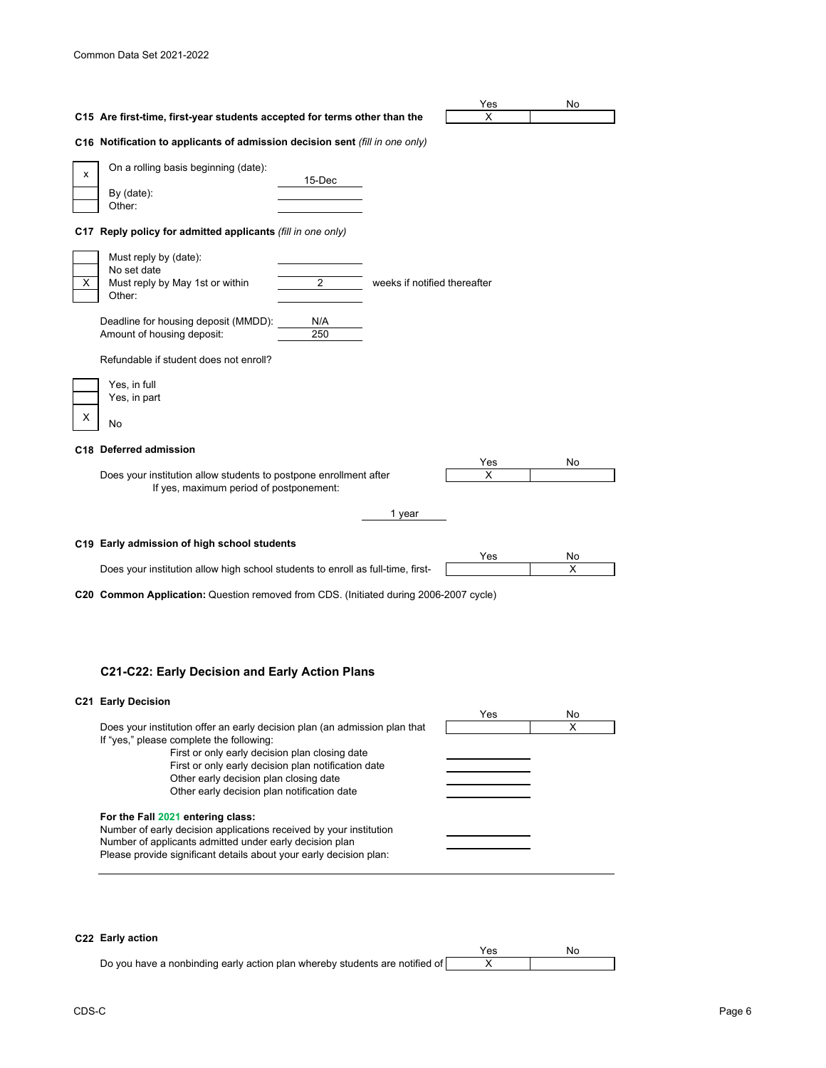|   |                                                                                                              |            |                              | Yes      | No      |  |
|---|--------------------------------------------------------------------------------------------------------------|------------|------------------------------|----------|---------|--|
|   | C15 Are first-time, first-year students accepted for terms other than the                                    |            |                              | X        |         |  |
|   | C16 Notification to applicants of admission decision sent (fill in one only)                                 |            |                              |          |         |  |
| x | On a rolling basis beginning (date):<br>By (date):<br>Other:                                                 | 15-Dec     |                              |          |         |  |
|   | C17 Reply policy for admitted applicants (fill in one only)                                                  |            |                              |          |         |  |
|   | Must reply by (date):<br>No set date<br>Must reply by May 1st or within<br>Other:                            | 2          | weeks if notified thereafter |          |         |  |
|   | Deadline for housing deposit (MMDD):<br>Amount of housing deposit:                                           | N/A<br>250 |                              |          |         |  |
|   | Refundable if student does not enroll?                                                                       |            |                              |          |         |  |
| Χ | Yes, in full<br>Yes, in part<br>No                                                                           |            |                              |          |         |  |
|   | C18 Deferred admission                                                                                       |            |                              |          |         |  |
|   | Does your institution allow students to postpone enrollment after<br>If yes, maximum period of postponement: |            |                              | Yes<br>X | No      |  |
|   | 1 year                                                                                                       |            |                              |          |         |  |
|   | C19 Early admission of high school students                                                                  |            |                              |          |         |  |
|   | Does your institution allow high school students to enroll as full-time, first-                              |            |                              | Yes      | No<br>X |  |
|   | C20 Common Application: Question removed from CDS. (Initiated during 2006-2007 cycle)                        |            |                              |          |         |  |

# **C21-C22: Early Decision and Early Action Plans**

# **C21 Early Decision**

| . . Luit Pouluivii                                                         |     |    |
|----------------------------------------------------------------------------|-----|----|
|                                                                            | Yes | No |
| Does your institution offer an early decision plan (an admission plan that |     | x  |
| If "yes," please complete the following:                                   |     |    |
| First or only early decision plan closing date                             |     |    |
| First or only early decision plan notification date                        |     |    |
| Other early decision plan closing date                                     |     |    |
| Other early decision plan notification date                                |     |    |
| For the Fall 2021 entering class:                                          |     |    |
| Number of early decision applications received by your institution         |     |    |
| Number of applicants admitted under early decision plan                    |     |    |
| Please provide significant details about your early decision plan:         |     |    |
|                                                                            |     |    |

# **C22 Early action**

| .                                                                           | Yes | Nο |
|-----------------------------------------------------------------------------|-----|----|
| Do you have a nonbinding early action plan whereby students are notified of |     |    |
|                                                                             |     |    |